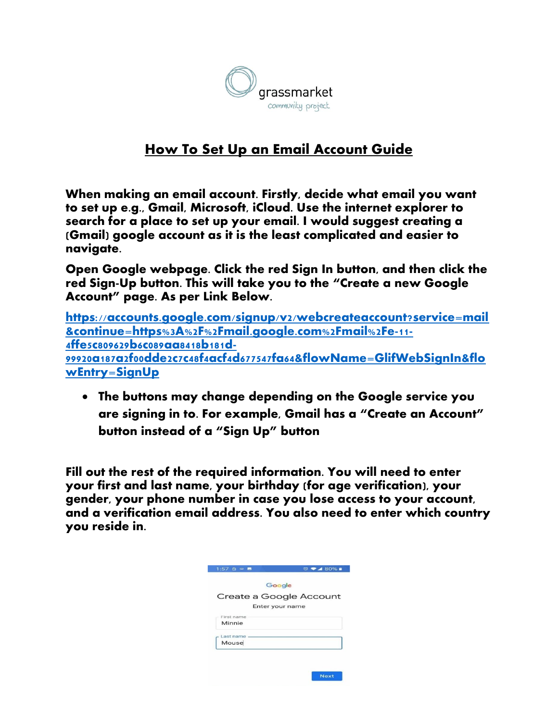

## **How To Set Up an Email Account Guide**

When making an email account. Firstly, decide what email you want to set up e.g., Gmail, Microsoft, iCloud. Use the internet explorer to search for a place to set up your email. I would suggest creating a (Gmail) google account as it is the least complicated and easier to navigate.

**Open Google webpage. Click the red Sign In button, and then click the red Sign-Up button. This will take you to the "Create a new Google Account" page. As per Link Below.**

**[https://accounts.google.com/signup/v2/webcreateaccount?service=mail](https://accounts.google.com/signup/v2/webcreateaccount?service=mail&continue=https%3A%2F%2Fmail.google.com%2Fmail%2Fe-11-4ffe5c809629b6c089aa8418b181d-99920a187a2f00dde2c7c48f4acf4d677547fa64&flowName=GlifWebSignIn&flowEntry=SignUp) [&continue=https%3A%2F%2Fmail.google.com%2Fmail%2Fe-11-](https://accounts.google.com/signup/v2/webcreateaccount?service=mail&continue=https%3A%2F%2Fmail.google.com%2Fmail%2Fe-11-4ffe5c809629b6c089aa8418b181d-99920a187a2f00dde2c7c48f4acf4d677547fa64&flowName=GlifWebSignIn&flowEntry=SignUp) [4ffe5c809629b6c089aa8418b181d-](https://accounts.google.com/signup/v2/webcreateaccount?service=mail&continue=https%3A%2F%2Fmail.google.com%2Fmail%2Fe-11-4ffe5c809629b6c089aa8418b181d-99920a187a2f00dde2c7c48f4acf4d677547fa64&flowName=GlifWebSignIn&flowEntry=SignUp)[99920a187a2f00dde2c7c48f4acf4d677547fa64&flowName=GlifWebSignIn&flo](https://accounts.google.com/signup/v2/webcreateaccount?service=mail&continue=https%3A%2F%2Fmail.google.com%2Fmail%2Fe-11-4ffe5c809629b6c089aa8418b181d-99920a187a2f00dde2c7c48f4acf4d677547fa64&flowName=GlifWebSignIn&flowEntry=SignUp) [wEntry=SignUp](https://accounts.google.com/signup/v2/webcreateaccount?service=mail&continue=https%3A%2F%2Fmail.google.com%2Fmail%2Fe-11-4ffe5c809629b6c089aa8418b181d-99920a187a2f00dde2c7c48f4acf4d677547fa64&flowName=GlifWebSignIn&flowEntry=SignUp)**

• **The buttons may change depending on the Google service you are signing in to. For example, Gmail has a "Create an Account" button instead of a "Sign Up" button**

**Fill out the rest of the required information. You will need to enter your first and last name, your birthday (for age verification), your gender, your phone number in case you lose access to your account, and a verification email address. You also need to enter which country you reside in.**

| Create a Google Account |
|-------------------------|
|                         |
|                         |
|                         |
|                         |
|                         |
|                         |
|                         |
|                         |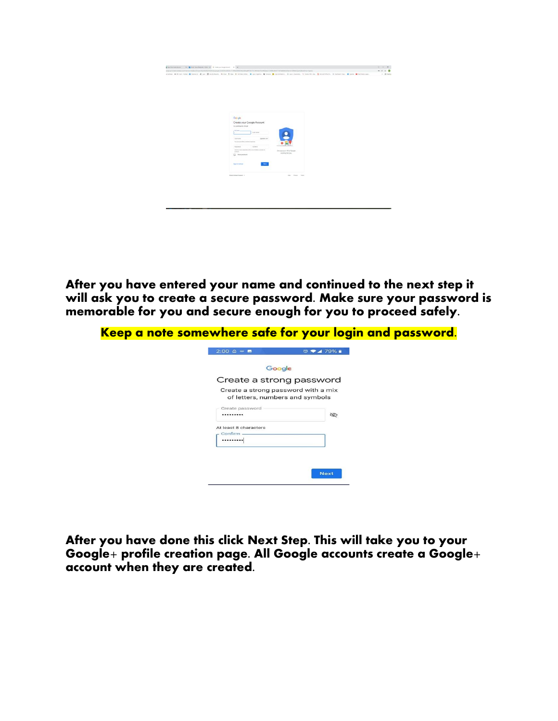| (spiel/chelonetecon/force=148/china/Ap/GADS/copport/GraNS) = 4V) (06/th/display/in 01) (06/to-21/china/2/china/2/china/2/china/2/china/2/china/2/china/2/china/2/china/2/china/2/china/2/china/2/china/2/china/2/china/2/china<br>close . Silenteed & land & land & lan Monters, Now Your Discounts, & options Young Experiency, Standards, Council De. Council and Standard & Land Books<br>Geogle |                                                                                                                                                                                                          |                                            | $-22$<br>$\sigma$ . 22 horse |
|-----------------------------------------------------------------------------------------------------------------------------------------------------------------------------------------------------------------------------------------------------------------------------------------------------------------------------------------------------------------------------------------------------|----------------------------------------------------------------------------------------------------------------------------------------------------------------------------------------------------------|--------------------------------------------|------------------------------|
|                                                                                                                                                                                                                                                                                                                                                                                                     |                                                                                                                                                                                                          |                                            |                              |
|                                                                                                                                                                                                                                                                                                                                                                                                     |                                                                                                                                                                                                          |                                            |                              |
| <b><i><u>Partners</u></i></b><br><b>Contractor</b><br>Patented<br><b>SHOP</b><br><b>Stylu Institute</b>                                                                                                                                                                                                                                                                                             | Create your Google Account<br>to continue to Granit<br>List con-<br>(tamican)<br>The the specialist, however, it points.<br>College.<br>Media: how consciously acts of when the trace of<br>[] Dompmonet | Owners at 44 of Gorde<br>senting for year. |                              |
| Depositioned Inquired, 41                                                                                                                                                                                                                                                                                                                                                                           |                                                                                                                                                                                                          | say Press Sans                             |                              |

After you have entered your name and continued to the next step it will ask you to create a secure password. Make sure your password is memorable for you and secure enough for you to proceed safely.

| $2:00$ $\oplus$ $\blacksquare$ | $\circ$ $\bullet$ 4 79%                                                |  |
|--------------------------------|------------------------------------------------------------------------|--|
|                                | Google                                                                 |  |
|                                | Create a strong password                                               |  |
|                                | Create a strong password with a mix<br>of letters, numbers and symbols |  |
| Create password<br>            | É                                                                      |  |
| At least 8 characters          |                                                                        |  |
| Confirm<br>                    |                                                                        |  |
|                                |                                                                        |  |

After you have done this c**lick Next Step.** This will take you to your Google+ profile creation page. All Google accounts create a Google+ account when they are created.